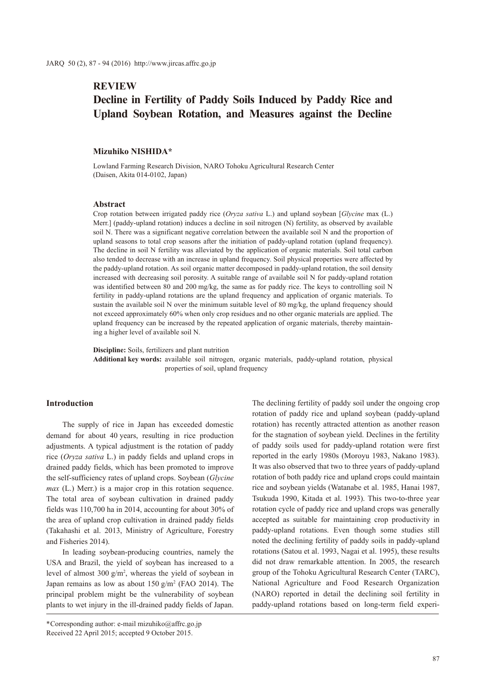# **REVIEW**

# **Decline in Fertility of Paddy Soils Induced by Paddy Rice and Upland Soybean Rotation, and Measures against the Decline**

### **Mizuhiko NISHIDA\***

Lowland Farming Research Division, NARO Tohoku Agricultural Research Center (Daisen, Akita 014-0102, Japan)

### **Abstract**

Crop rotation between irrigated paddy rice (*Oryza sativa* L.) and upland soybean [*Glycine* max (L.) Merr.] (paddy-upland rotation) induces a decline in soil nitrogen (N) fertility, as observed by available soil N. There was a significant negative correlation between the available soil N and the proportion of upland seasons to total crop seasons after the initiation of paddy-upland rotation (upland frequency). The decline in soil N fertility was alleviated by the application of organic materials. Soil total carbon also tended to decrease with an increase in upland frequency. Soil physical properties were affected by the paddy-upland rotation. As soil organic matter decomposed in paddy-upland rotation, the soil density increased with decreasing soil porosity. A suitable range of available soil N for paddy-upland rotation was identified between 80 and 200 mg/kg, the same as for paddy rice. The keys to controlling soil N fertility in paddy-upland rotations are the upland frequency and application of organic materials. To sustain the available soil N over the minimum suitable level of 80 mg/kg, the upland frequency should not exceed approximately 60% when only crop residues and no other organic materials are applied. The upland frequency can be increased by the repeated application of organic materials, thereby maintaining a higher level of available soil N.

**Discipline:** Soils, fertilizers and plant nutrition

**Additional key words:** available soil nitrogen, organic materials, paddy-upland rotation, physical properties of soil, upland frequency

### **Introduction**

The supply of rice in Japan has exceeded domestic demand for about 40 years, resulting in rice production adjustments. A typical adjustment is the rotation of paddy rice (*Oryza sativa* L.) in paddy fields and upland crops in drained paddy fields, which has been promoted to improve the self-sufficiency rates of upland crops. Soybean (*Glycine max* (L.) Merr.) is a major crop in this rotation sequence. The total area of soybean cultivation in drained paddy fields was 110,700 ha in 2014, accounting for about 30% of the area of upland crop cultivation in drained paddy fields (Takahashi et al. 2013, Ministry of Agriculture, Forestry and Fisheries 2014).

In leading soybean-producing countries, namely the USA and Brazil, the yield of soybean has increased to a level of almost  $300 \text{ g/m}^2$ , whereas the yield of soybean in Japan remains as low as about  $150 \text{ g/m}^2$  (FAO 2014). The principal problem might be the vulnerability of soybean plants to wet injury in the ill-drained paddy fields of Japan.

\*Corresponding author: e-mail mizuhiko@affrc.go.jp Received 22 April 2015; accepted 9 October 2015.

The declining fertility of paddy soil under the ongoing crop rotation of paddy rice and upland soybean (paddy-upland rotation) has recently attracted attention as another reason for the stagnation of soybean yield. Declines in the fertility of paddy soils used for paddy-upland rotation were first reported in the early 1980s (Moroyu 1983, Nakano 1983). It was also observed that two to three years of paddy-upland rotation of both paddy rice and upland crops could maintain rice and soybean yields (Watanabe et al. 1985, Hanai 1987, Tsukuda 1990, Kitada et al. 1993). This two-to-three year rotation cycle of paddy rice and upland crops was generally accepted as suitable for maintaining crop productivity in paddy-upland rotations. Even though some studies still noted the declining fertility of paddy soils in paddy-upland rotations (Satou et al. 1993, Nagai et al. 1995), these results did not draw remarkable attention. In 2005, the research group of the Tohoku Agricultural Research Center (TARC), National Agriculture and Food Research Organization (NARO) reported in detail the declining soil fertility in paddy-upland rotations based on long-term field experi-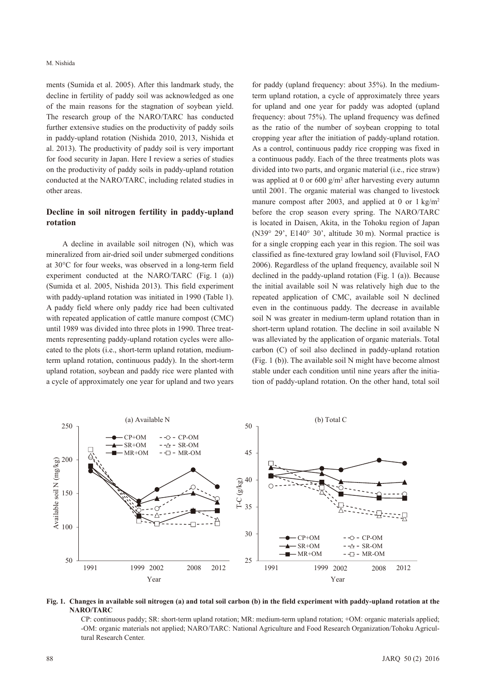ments (Sumida et al. 2005). After this landmark study, the decline in fertility of paddy soil was acknowledged as one of the main reasons for the stagnation of soybean yield. The research group of the NARO/TARC has conducted further extensive studies on the productivity of paddy soils in paddy-upland rotation (Nishida 2010, 2013, Nishida et al. 2013). The productivity of paddy soil is very important for food security in Japan. Here I review a series of studies on the productivity of paddy soils in paddy-upland rotation conducted at the NARO/TARC, including related studies in other areas.

# **Decline in soil nitrogen fertility in paddy-upland rotation**

A decline in available soil nitrogen (N), which was mineralized from air-dried soil under submerged conditions at 30°C for four weeks, was observed in a long-term field experiment conducted at the NARO/TARC (Fig. 1 (a)) (Sumida et al. 2005, Nishida 2013). This field experiment with paddy-upland rotation was initiated in 1990 (Table 1). A paddy field where only paddy rice had been cultivated with repeated application of cattle manure compost (CMC) until 1989 was divided into three plots in 1990. Three treatments representing paddy-upland rotation cycles were allocated to the plots (i.e., short-term upland rotation, mediumterm upland rotation, continuous paddy). In the short-term upland rotation, soybean and paddy rice were planted with a cycle of approximately one year for upland and two years

for paddy (upland frequency: about 35%). In the mediumterm upland rotation, a cycle of approximately three years for upland and one year for paddy was adopted (upland frequency: about 75%). The upland frequency was defined as the ratio of the number of soybean cropping to total cropping year after the initiation of paddy-upland rotation. As a control, continuous paddy rice cropping was fixed in a continuous paddy. Each of the three treatments plots was divided into two parts, and organic material (i.e., rice straw) was applied at 0 or 600  $g/m^2$  after harvesting every autumn until 2001. The organic material was changed to livestock manure compost after 2003, and applied at 0 or 1 kg/m<sup>2</sup> before the crop season every spring. The NARO/TARC is located in Daisen, Akita, in the Tohoku region of Japan (N39° 29', E140° 30', altitude 30 m). Normal practice is for a single cropping each year in this region. The soil was classified as fine-textured gray lowland soil (Fluvisol, FAO 2006). Regardless of the upland frequency, available soil N declined in the paddy-upland rotation (Fig. 1 (a)). Because the initial available soil N was relatively high due to the repeated application of CMC, available soil N declined even in the continuous paddy. The decrease in available soil N was greater in medium-term upland rotation than in short-term upland rotation. The decline in soil available N was alleviated by the application of organic materials. Total carbon (C) of soil also declined in paddy-upland rotation (Fig. 1 (b)). The available soil N might have become almost stable under each condition until nine years after the initiation of paddy-upland rotation. On the other hand, total soil



### **Fig. 1. Changes in available soil nitrogen (a) and total soil carbon (b) in the field experiment with paddy-upland rotation at the NARO/TARC**

CP: continuous paddy; SR: short-term upland rotation; MR: medium-term upland rotation; +OM: organic materials applied; -OM: organic materials not applied; NARO/TARC: National Agriculture and Food Research Organization/Tohoku Agricultural Research Center.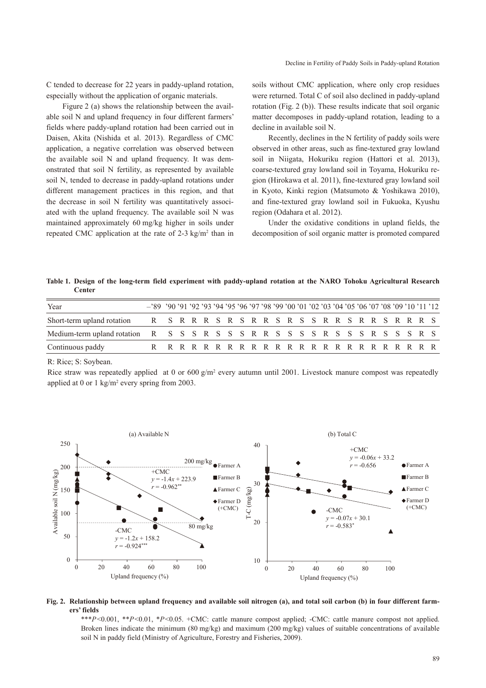C tended to decrease for 22 years in paddy-upland rotation, especially without the application of organic materials.

Figure 2 (a) shows the relationship between the available soil N and upland frequency in four different farmers' fields where paddy-upland rotation had been carried out in Daisen, Akita (Nishida et al. 2013). Regardless of CMC application, a negative correlation was observed between the available soil N and upland frequency. It was demonstrated that soil N fertility, as represented by available soil N, tended to decrease in paddy-upland rotations under different management practices in this region, and that the decrease in soil N fertility was quantitatively associated with the upland frequency. The available soil N was maintained approximately 60 mg/kg higher in soils under repeated CMC application at the rate of  $2-3$  kg/m<sup>2</sup> than in soils without CMC application, where only crop residues were returned. Total C of soil also declined in paddy-upland rotation (Fig. 2 (b)). These results indicate that soil organic matter decomposes in paddy-upland rotation, leading to a decline in available soil N.

Recently, declines in the N fertility of paddy soils were observed in other areas, such as fine-textured gray lowland soil in Niigata, Hokuriku region (Hattori et al. 2013), coarse-textured gray lowland soil in Toyama, Hokuriku region (Hirokawa et al. 2011), fine-textured gray lowland soil in Kyoto, Kinki region (Matsumoto & Yoshikawa 2010), and fine-textured gray lowland soil in Fukuoka, Kyushu region (Odahara et al. 2012).

Under the oxidative conditions in upland fields, the decomposition of soil organic matter is promoted compared

**Table 1. Design of the long-term field experiment with paddy-upland rotation at the NARO Tohoku Agricultural Research Center**

| Year                                                                              | -289 290 291 292 293 294 295 296 297 298 299 200 201 202 203 204 205 206 207 208 209 210 211 212 |  |  |  |  |  |  |  |  |  |  |  |  |
|-----------------------------------------------------------------------------------|--------------------------------------------------------------------------------------------------|--|--|--|--|--|--|--|--|--|--|--|--|
| Short-term upland rotation R S R R R S R R S R R S R R R S R R R R R S R R R S    |                                                                                                  |  |  |  |  |  |  |  |  |  |  |  |  |
| Medium-term upland rotation R S S S R S S S R R S S S S R S S S R S S S R S S R S |                                                                                                  |  |  |  |  |  |  |  |  |  |  |  |  |
| Continuous paddy                                                                  |                                                                                                  |  |  |  |  |  |  |  |  |  |  |  |  |

R: Rice; S: Soybean.

Rice straw was repeatedly applied at 0 or  $600 \text{ g/m}^2$  every autumn until 2001. Livestock manure compost was repeatedly applied at 0 or 1  $\text{kg/m}^2$  every spring from 2003.



### **Fig. 2. Relationship between upland frequency and available soil nitrogen (a), and total soil carbon (b) in four different farmers' fields**

\*\*\**P*<0.001, \*\**P*<0.01, \**P*<0.05. +CMC: cattle manure compost applied; -CMC: cattle manure compost not applied. Broken lines indicate the minimum (80 mg/kg) and maximum (200 mg/kg) values of suitable concentrations of available soil N in paddy field (Ministry of Agriculture, Forestry and Fisheries, 2009).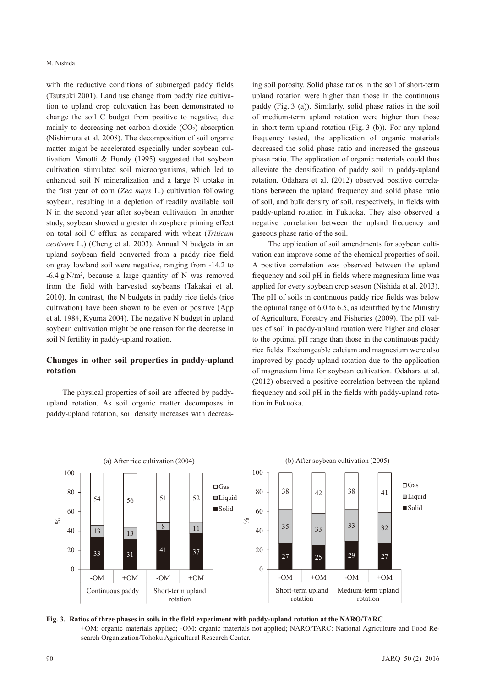with the reductive conditions of submerged paddy fields (Tsutsuki 2001). Land use change from paddy rice cultivation to upland crop cultivation has been demonstrated to change the soil C budget from positive to negative, due mainly to decreasing net carbon dioxide  $(CO<sub>2</sub>)$  absorption (Nishimura et al. 2008). The decomposition of soil organic matter might be accelerated especially under soybean cultivation. Vanotti & Bundy (1995) suggested that soybean cultivation stimulated soil microorganisms, which led to enhanced soil N mineralization and a large N uptake in the first year of corn (*Zea mays* L.) cultivation following soybean, resulting in a depletion of readily available soil N in the second year after soybean cultivation. In another study, soybean showed a greater rhizosphere priming effect on total soil C efflux as compared with wheat (*Triticum aestivum* L.) (Cheng et al. 2003). Annual N budgets in an upland soybean field converted from a paddy rice field on gray lowland soil were negative, ranging from -14.2 to  $-6.4$  g N/m<sup>2</sup>, because a large quantity of N was removed from the field with harvested soybeans (Takakai et al. 2010). In contrast, the N budgets in paddy rice fields (rice cultivation) have been shown to be even or positive (App et al. 1984, Kyuma 2004). The negative N budget in upland soybean cultivation might be one reason for the decrease in soil N fertility in paddy-upland rotation.

## **Changes in other soil properties in paddy-upland rotation**

The physical properties of soil are affected by paddyupland rotation. As soil organic matter decomposes in paddy-upland rotation, soil density increases with decreas-

ing soil porosity. Solid phase ratios in the soil of short-term upland rotation were higher than those in the continuous paddy (Fig. 3 (a)). Similarly, solid phase ratios in the soil of medium-term upland rotation were higher than those in short-term upland rotation (Fig. 3 (b)). For any upland frequency tested, the application of organic materials decreased the solid phase ratio and increased the gaseous phase ratio. The application of organic materials could thus alleviate the densification of paddy soil in paddy-upland rotation. Odahara et al. (2012) observed positive correlations between the upland frequency and solid phase ratio of soil, and bulk density of soil, respectively, in fields with paddy-upland rotation in Fukuoka. They also observed a negative correlation between the upland frequency and gaseous phase ratio of the soil.

The application of soil amendments for soybean cultivation can improve some of the chemical properties of soil. A positive correlation was observed between the upland frequency and soil pH in fields where magnesium lime was applied for every soybean crop season (Nishida et al. 2013). The pH of soils in continuous paddy rice fields was below the optimal range of 6.0 to 6.5, as identified by the Ministry of Agriculture, Forestry and Fisheries (2009). The pH values of soil in paddy-upland rotation were higher and closer to the optimal pH range than those in the continuous paddy rice fields. Exchangeable calcium and magnesium were also improved by paddy-upland rotation due to the application of magnesium lime for soybean cultivation. Odahara et al. (2012) observed a positive correlation between the upland frequency and soil pH in the fields with paddy-upland rotation in Fukuoka.



**Fig. 3. Ratios of three phases in soils in the field experiment with paddy-upland rotation at the NARO/TARC** +OM: organic materials applied; -OM: organic materials not applied; NARO/TARC: National Agriculture and Food Research Organization/Tohoku Agricultural Research Center.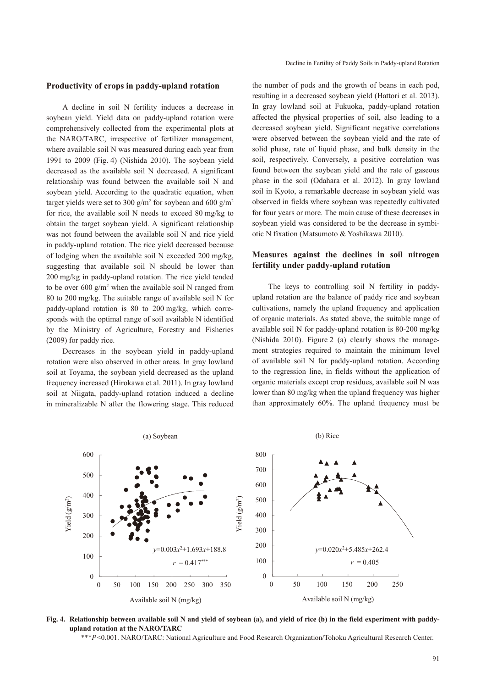#### Decline in Fertility of Paddy Soils in Paddy-upland Rotation

### **Productivity of crops in paddy-upland rotation**

A decline in soil N fertility induces a decrease in soybean yield. Yield data on paddy-upland rotation were comprehensively collected from the experimental plots at the NARO/TARC, irrespective of fertilizer management, where available soil N was measured during each year from 1991 to 2009 (Fig. 4) (Nishida 2010). The soybean yield decreased as the available soil N decreased. A significant relationship was found between the available soil N and soybean yield. According to the quadratic equation, when target yields were set to 300  $g/m^2$  for soybean and 600  $g/m^2$ for rice, the available soil N needs to exceed 80 mg/kg to obtain the target soybean yield. A significant relationship was not found between the available soil N and rice yield in paddy-upland rotation. The rice yield decreased because of lodging when the available soil N exceeded 200 mg/kg, suggesting that available soil N should be lower than 200 mg/kg in paddy-upland rotation. The rice yield tended to be over  $600 \text{ g/m}^2$  when the available soil N ranged from 80 to 200 mg/kg. The suitable range of available soil N for paddy-upland rotation is 80 to 200 mg/kg, which corresponds with the optimal range of soil available N identified by the Ministry of Agriculture, Forestry and Fisheries (2009) for paddy rice.

Decreases in the soybean yield in paddy-upland rotation were also observed in other areas. In gray lowland soil at Toyama, the soybean yield decreased as the upland frequency increased (Hirokawa et al. 2011). In gray lowland soil at Niigata, paddy-upland rotation induced a decline in mineralizable N after the flowering stage. This reduced

the number of pods and the growth of beans in each pod, resulting in a decreased soybean yield (Hattori et al. 2013). In gray lowland soil at Fukuoka, paddy-upland rotation affected the physical properties of soil, also leading to a decreased soybean yield. Significant negative correlations were observed between the soybean yield and the rate of solid phase, rate of liquid phase, and bulk density in the soil, respectively. Conversely, a positive correlation was found between the soybean yield and the rate of gaseous phase in the soil (Odahara et al. 2012). In gray lowland soil in Kyoto, a remarkable decrease in soybean yield was observed in fields where soybean was repeatedly cultivated for four years or more. The main cause of these decreases in soybean yield was considered to be the decrease in symbiotic N fixation (Matsumoto & Yoshikawa 2010).

# **Measures against the declines in soil nitrogen fertility under paddy-upland rotation**

The keys to controlling soil N fertility in paddyupland rotation are the balance of paddy rice and soybean cultivations, namely the upland frequency and application of organic materials. As stated above, the suitable range of available soil N for paddy-upland rotation is 80-200 mg/kg (Nishida 2010). Figure 2 (a) clearly shows the management strategies required to maintain the minimum level of available soil N for paddy-upland rotation. According to the regression line, in fields without the application of organic materials except crop residues, available soil N was lower than 80 mg/kg when the upland frequency was higher than approximately 60%. The upland frequency must be



**Fig. 4. Relationship between available soil N and yield of soybean (a), and yield of rice (b) in the field experiment with paddyupland rotation at the NARO/TARC**

\*\*\**P*<0.001. NARO/TARC: National Agriculture and Food Research Organization/Tohoku Agricultural Research Center.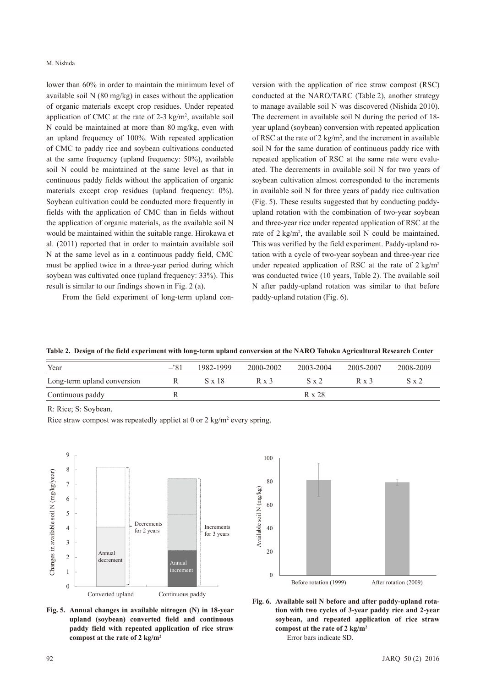lower than 60% in order to maintain the minimum level of available soil N (80 mg/kg) in cases without the application of organic materials except crop residues. Under repeated application of CMC at the rate of 2-3  $\text{kg/m}^2$ , available soil N could be maintained at more than 80 mg/kg, even with an upland frequency of 100%. With repeated application of CMC to paddy rice and soybean cultivations conducted at the same frequency (upland frequency: 50%), available soil N could be maintained at the same level as that in continuous paddy fields without the application of organic materials except crop residues (upland frequency: 0%). Soybean cultivation could be conducted more frequently in fields with the application of CMC than in fields without the application of organic materials, as the available soil N would be maintained within the suitable range. Hirokawa et al. (2011) reported that in order to maintain available soil N at the same level as in a continuous paddy field, CMC must be applied twice in a three-year period during which soybean was cultivated once (upland frequency: 33%). This result is similar to our findings shown in Fig. 2 (a).

From the field experiment of long-term upland con-

version with the application of rice straw compost (RSC) conducted at the NARO/TARC (Table 2), another strategy to manage available soil N was discovered (Nishida 2010). The decrement in available soil N during the period of 18 year upland (soybean) conversion with repeated application of RSC at the rate of 2  $\text{kg/m}^2$ , and the increment in available soil N for the same duration of continuous paddy rice with repeated application of RSC at the same rate were evaluated. The decrements in available soil N for two years of soybean cultivation almost corresponded to the increments in available soil N for three years of paddy rice cultivation (Fig. 5). These results suggested that by conducting paddyupland rotation with the combination of two-year soybean and three-year rice under repeated application of RSC at the rate of  $2 \text{ kg/m}^2$ , the available soil N could be maintained. This was verified by the field experiment. Paddy-upland rotation with a cycle of two-year soybean and three-year rice under repeated application of RSC at the rate of  $2 \text{ kg/m}^2$ was conducted twice (10 years, Table 2). The available soil N after paddy-upland rotation was similar to that before paddy-upland rotation (Fig. 6).

|  |  |  |  | Table 2. Design of the field experiment with long-term upland conversion at the NARO Tohoku Agricultural Research Center |  |  |
|--|--|--|--|--------------------------------------------------------------------------------------------------------------------------|--|--|
|--|--|--|--|--------------------------------------------------------------------------------------------------------------------------|--|--|

| Year                        | $-281$ | 1982-1999     | 2000-2002    | 2003-2004    | 2005-2007    | 2008-2009 |
|-----------------------------|--------|---------------|--------------|--------------|--------------|-----------|
| Long-term upland conversion |        | $S \times 18$ | $R \times 3$ | $S \times 2$ | $R \times 3$ | S x 2     |
| Continuous paddy            |        |               |              | R x 28       |              |           |

R: Rice; S: Soybean.

Rice straw compost was repeatedly appliet at  $0$  or  $2 \text{ kg/m}^2$  every spring.



**Fig. 5. Annual changes in available nitrogen (N) in 18-year upland (soybean) converted field and continuous paddy field with repeated application of rice straw compost at the rate of 2 kg/m2**



**Fig. 6. Available soil N before and after paddy-upland rotation with two cycles of 3-year paddy rice and 2-year soybean, and repeated application of rice straw compost at the rate of 2 kg/m2** Error bars indicate SD.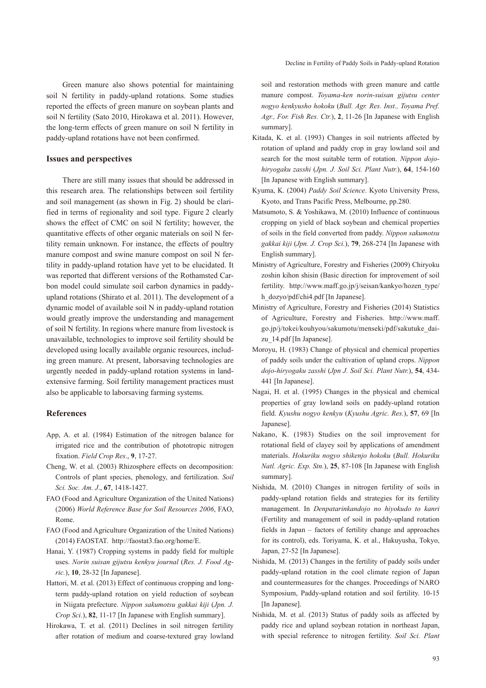Green manure also shows potential for maintaining soil N fertility in paddy-upland rotations. Some studies reported the effects of green manure on soybean plants and soil N fertility (Sato 2010, Hirokawa et al. 2011). However, the long-term effects of green manure on soil N fertility in paddy-upland rotations have not been confirmed.

# **Issues and perspectives**

There are still many issues that should be addressed in this research area. The relationships between soil fertility and soil management (as shown in Fig. 2) should be clarified in terms of regionality and soil type. Figure 2 clearly shows the effect of CMC on soil N fertility; however, the quantitative effects of other organic materials on soil N fertility remain unknown. For instance, the effects of poultry manure compost and swine manure compost on soil N fertility in paddy-upland rotation have yet to be elucidated. It was reported that different versions of the Rothamsted Carbon model could simulate soil carbon dynamics in paddyupland rotations (Shirato et al. 2011). The development of a dynamic model of available soil N in paddy-upland rotation would greatly improve the understanding and management of soil N fertility. In regions where manure from livestock is unavailable, technologies to improve soil fertility should be developed using locally available organic resources, including green manure. At present, laborsaving technologies are urgently needed in paddy-upland rotation systems in landextensive farming. Soil fertility management practices must also be applicable to laborsaving farming systems.

### **References**

- App, A. et al. (1984) Estimation of the nitrogen balance for irrigated rice and the contribution of phototropic nitrogen fixation. *Field Crop Res*., **9**, 17-27.
- Cheng, W. et al. (2003) Rhizosphere effects on decomposition: Controls of plant species, phenology, and fertilization. *Soil Sci. Soc. Am. J*., **67**, 1418-1427.
- FAO (Food and Agriculture Organization of the United Nations) (2006) *World Reference Base for Soil Resources 2006*, FAO, Rome.
- FAO (Food and Agriculture Organization of the United Nations) (2014) FAOSTAT. http://faostat3.fao.org/home/E.
- Hanai, Y. (1987) Cropping systems in paddy field for multiple uses. *Norin suisan gijutsu kenkyu journal* (*Res. J. Food Agric.*), **10**, 28-32 [In Japanese].
- Hattori, M. et al. (2013) Effect of continuous cropping and longterm paddy-upland rotation on yield reduction of soybean in Niigata prefecture. *Nippon sakumotsu gakkai kiji* (*Jpn. J. Crop Sci.*), **82**, 11-17 [In Japanese with English summary].
- Hirokawa, T. et al. (2011) Declines in soil nitrogen fertility after rotation of medium and coarse-textured gray lowland

soil and restoration methods with green manure and cattle manure compost. *Toyama-ken norin-suisan gijutsu center nogyo kenkyusho hokoku* (*Bull. Agr. Res. Inst., Toyama Pref. Agr., For. Fish Res. Ctr.*), **2**, 11-26 [In Japanese with English summary].

- Kitada, K. et al. (1993) Changes in soil nutrients affected by rotation of upland and paddy crop in gray lowland soil and search for the most suitable term of rotation. *Nippon dojohiryogaku zasshi* (*Jpn. J. Soil Sci. Plant Nutr.*), **64**, 154-160 [In Japanese with English summary].
- Kyuma, K. (2004) *Paddy Soil Science*. Kyoto University Press, Kyoto, and Trans Pacific Press, Melbourne, pp.280.
- Matsumoto, S. & Yoshikawa, M. (2010) Influence of continuous cropping on yield of black soybean and chemical properties of soils in the field converted from paddy. *Nippon sakumotsu gakkai kiji* (*Jpn. J. Crop Sci.*), **79**, 268-274 [In Japanese with English summary].
- Ministry of Agriculture, Forestry and Fisheries (2009) Chiryoku zoshin kihon shisin (Basic direction for improvement of soil fertility. http://www.maff.go.jp/j/seisan/kankyo/hozen\_type/ h\_dozyo/pdf/chi4.pdf [In Japanese].
- Ministry of Agriculture, Forestry and Fisheries (2014) Statistics of Agriculture, Forestry and Fisheries. http://www.maff. go.jp/j/tokei/kouhyou/sakumotu/menseki/pdf/sakutuke\_daizu\_14.pdf [In Japanese].
- Moroyu, H. (1983) Change of physical and chemical properties of paddy soils under the cultivation of upland crops. *Nippon dojo-hiryogaku zasshi* (*Jpn J. Soil Sci. Plant Nutr.*), **54**, 434- 441 [In Japanese].
- Nagai, H. et al. (1995) Changes in the physical and chemical properties of gray lowland soils on paddy-upland rotation field. *Kyushu nogyo kenkyu* (*Kyushu Agric. Res.*), **57**, 69 [In Japanese].
- Nakano, K. (1983) Studies on the soil improvement for rotational field of clayey soil by applications of amendment materials. *Hokuriku nogyo shikenjo hokoku* (*Bull. Hokuriku Natl. Agric. Exp. Stn.*), **25**, 87-108 [In Japanese with English summary].
- Nishida, M. (2010) Changes in nitrogen fertility of soils in paddy-upland rotation fields and strategies for its fertility management. In *Denpatarinkandojo no hiyokudo to kanri* (Fertility and management of soil in paddy-upland rotation fields in Japan – factors of fertility change and approaches for its control), eds. Toriyama, K. et al., Hakuyusha, Tokyo, Japan, 27-52 [In Japanese].
- Nishida, M. (2013) Changes in the fertility of paddy soils under paddy-upland rotation in the cool climate region of Japan and countermeasures for the changes. Proceedings of NARO Symposium, Paddy-upland rotation and soil fertility. 10-15 [In Japanese].
- Nishida, M. et al. (2013) Status of paddy soils as affected by paddy rice and upland soybean rotation in northeast Japan, with special reference to nitrogen fertility. *Soil Sci. Plant*